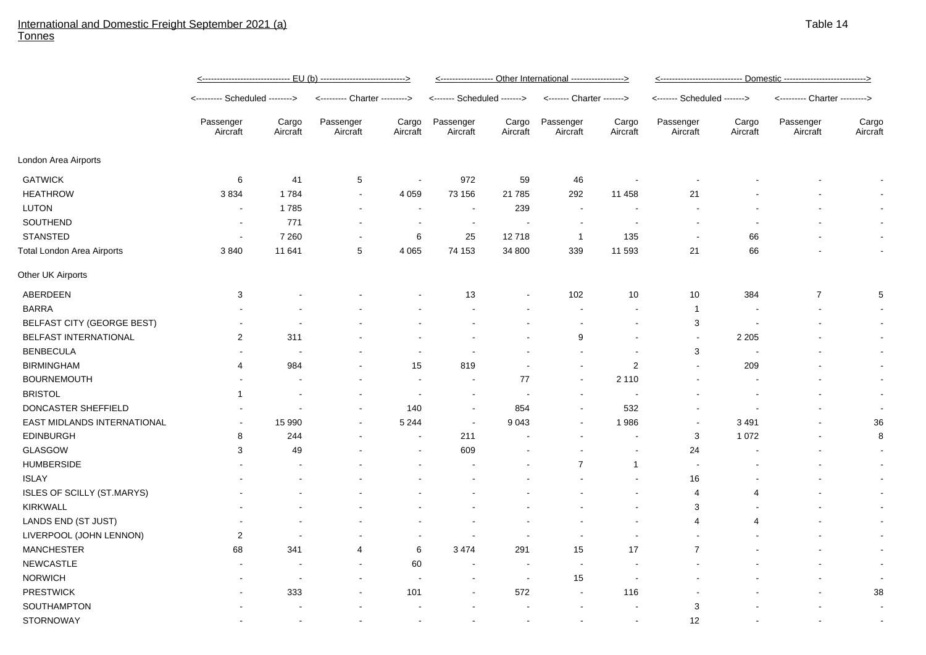## International and Domestic Freight September 2021 (a) **Tonnes**

|                                   | <------------------------------- EU (b) ----------------------------> |                          |                               |                          | <----------------- Other International -----------------> |                          |                           |                          | <u> &lt;--------------------------- Domestic --------------------------&gt;</u> |                   |                               |                   |
|-----------------------------------|-----------------------------------------------------------------------|--------------------------|-------------------------------|--------------------------|-----------------------------------------------------------|--------------------------|---------------------------|--------------------------|---------------------------------------------------------------------------------|-------------------|-------------------------------|-------------------|
|                                   | <-------- Scheduled -------->                                         |                          | <--------- Charter ---------> |                          | <------- Scheduled ------->                               |                          | <------- Charter -------> |                          | <------- Scheduled ------->                                                     |                   | <--------- Charter ---------> |                   |
|                                   | Passenger<br>Aircraft                                                 | Cargo<br>Aircraft        | Passenger<br>Aircraft         | Cargo<br>Aircraft        | Passenger<br>Aircraft                                     | Cargo<br>Aircraft        | Passenger<br>Aircraft     | Cargo<br>Aircraft        | Passenger<br>Aircraft                                                           | Cargo<br>Aircraft | Passenger<br>Aircraft         | Cargo<br>Aircraft |
| London Area Airports              |                                                                       |                          |                               |                          |                                                           |                          |                           |                          |                                                                                 |                   |                               |                   |
| <b>GATWICK</b>                    | 6                                                                     | 41                       | $\mathbf 5$                   | $\sim$                   | 972                                                       | 59                       | 46                        | $\sim$                   |                                                                                 |                   |                               |                   |
| <b>HEATHROW</b>                   | 3834                                                                  | 1784                     | $\blacksquare$                | 4 0 5 9                  | 73 156                                                    | 21 7 85                  | 292                       | 11 458                   | 21                                                                              |                   |                               |                   |
| <b>LUTON</b>                      | $\sim$                                                                | 1785                     | $\overline{\phantom{a}}$      | $\overline{\phantom{a}}$ | $\overline{\phantom{a}}$                                  | 239                      | $\sim$                    |                          |                                                                                 |                   |                               |                   |
| SOUTHEND                          | $\blacksquare$                                                        | 771                      |                               | $\blacksquare$           | $\sim$                                                    |                          |                           |                          |                                                                                 |                   |                               |                   |
| <b>STANSTED</b>                   | $\blacksquare$                                                        | 7 2 6 0                  |                               | 6                        | 25                                                        | 12718                    | $\mathbf{1}$              | 135                      | $\overline{\phantom{a}}$                                                        | 66                |                               |                   |
| <b>Total London Area Airports</b> | 3840                                                                  | 11 641                   | 5                             | 4 0 6 5                  | 74 153                                                    | 34 800                   | 339                       | 11 593                   | 21                                                                              | 66                |                               |                   |
| Other UK Airports                 |                                                                       |                          |                               |                          |                                                           |                          |                           |                          |                                                                                 |                   |                               |                   |
| ABERDEEN                          | 3                                                                     |                          |                               |                          | 13                                                        |                          | 102                       | 10                       | 10                                                                              | 384               | $\overline{7}$                | 5                 |
| <b>BARRA</b>                      |                                                                       |                          |                               |                          |                                                           |                          |                           | $\blacksquare$           | $\mathbf{1}$                                                                    |                   |                               |                   |
| BELFAST CITY (GEORGE BEST)        | $\blacksquare$                                                        |                          |                               |                          |                                                           |                          | $\blacksquare$            | $\blacksquare$           | 3                                                                               |                   |                               |                   |
| BELFAST INTERNATIONAL             | 2                                                                     | 311                      |                               |                          |                                                           |                          | 9                         |                          | $\blacksquare$                                                                  | 2 2 0 5           |                               |                   |
| <b>BENBECULA</b>                  |                                                                       |                          |                               | $\blacksquare$           |                                                           |                          | $\blacksquare$            | $\blacksquare$           | 3                                                                               |                   |                               |                   |
| <b>BIRMINGHAM</b>                 | 4                                                                     | 984                      |                               | 15                       | 819                                                       | $\overline{\phantom{a}}$ | $\sim$                    | $\overline{2}$           | $\blacksquare$                                                                  | 209               |                               |                   |
| <b>BOURNEMOUTH</b>                |                                                                       |                          |                               | $\overline{\phantom{a}}$ | $\overline{\phantom{a}}$                                  | 77                       | $\sim$                    | 2 1 1 0                  |                                                                                 |                   |                               |                   |
| <b>BRISTOL</b>                    | 1                                                                     |                          |                               | $\overline{\phantom{a}}$ | $\overline{\phantom{a}}$                                  |                          | $\blacksquare$            | $\blacksquare$           |                                                                                 |                   |                               |                   |
| DONCASTER SHEFFIELD               |                                                                       |                          | $\blacksquare$                | 140                      | $\blacksquare$                                            | 854                      | $\overline{\phantom{a}}$  | 532                      |                                                                                 |                   | $\overline{\phantom{a}}$      |                   |
| EAST MIDLANDS INTERNATIONAL       | $\blacksquare$                                                        | 15 990                   | $\blacksquare$                | 5 2 4 4                  | $\sim$                                                    | 9 0 4 3                  | $\blacksquare$            | 1986                     | $\overline{\phantom{a}}$                                                        | 3 4 9 1           | $\blacksquare$                | 36                |
| <b>EDINBURGH</b>                  | 8                                                                     | 244                      |                               | $\blacksquare$           | 211                                                       |                          |                           | $\overline{\phantom{a}}$ | 3                                                                               | 1 0 7 2           |                               | 8                 |
| <b>GLASGOW</b>                    | 3                                                                     | 49                       |                               | $\overline{\phantom{a}}$ | 609                                                       |                          |                           | $\blacksquare$           | 24                                                                              |                   |                               |                   |
| <b>HUMBERSIDE</b>                 |                                                                       |                          |                               |                          |                                                           |                          | $\overline{7}$            | $\overline{1}$           | $\overline{\phantom{a}}$                                                        |                   |                               |                   |
| <b>ISLAY</b>                      |                                                                       |                          |                               |                          |                                                           |                          |                           | $\blacksquare$           | 16                                                                              |                   |                               |                   |
| ISLES OF SCILLY (ST.MARYS)        |                                                                       |                          |                               |                          |                                                           |                          |                           | $\blacksquare$           | 4                                                                               | 4                 |                               |                   |
| <b>KIRKWALL</b>                   |                                                                       |                          |                               |                          |                                                           |                          |                           |                          | 3                                                                               |                   |                               |                   |
| LANDS END (ST JUST)               |                                                                       |                          |                               |                          |                                                           |                          |                           |                          | 4                                                                               | 4                 |                               |                   |
| LIVERPOOL (JOHN LENNON)           | $\overline{2}$                                                        |                          |                               | $\overline{\phantom{a}}$ | $\overline{\phantom{a}}$                                  |                          | $\overline{\phantom{a}}$  |                          |                                                                                 |                   |                               |                   |
| <b>MANCHESTER</b>                 | 68                                                                    | 341                      | 4                             | 6                        | 3 4 7 4                                                   | 291                      | 15                        | 17                       | $\overline{7}$                                                                  |                   |                               |                   |
| NEWCASTLE                         |                                                                       |                          | $\overline{\phantom{a}}$      | 60                       |                                                           |                          | $\sim$                    |                          |                                                                                 |                   |                               |                   |
| <b>NORWICH</b>                    |                                                                       |                          | $\blacksquare$                | $\overline{\phantom{a}}$ |                                                           | $\overline{\phantom{a}}$ | 15                        |                          |                                                                                 |                   |                               |                   |
| <b>PRESTWICK</b>                  |                                                                       | 333                      | $\blacksquare$                | 101                      |                                                           | 572                      | $\sim$                    | 116                      |                                                                                 |                   |                               | 38                |
| SOUTHAMPTON                       | $\blacksquare$                                                        | $\overline{\phantom{a}}$ | $\overline{\phantom{a}}$      | $\sim$                   | $\sim$                                                    |                          | $\sim$                    | $\blacksquare$           | 3                                                                               |                   | $\sim$                        |                   |

STORNOWAY - - - - - - - - 12 - - -